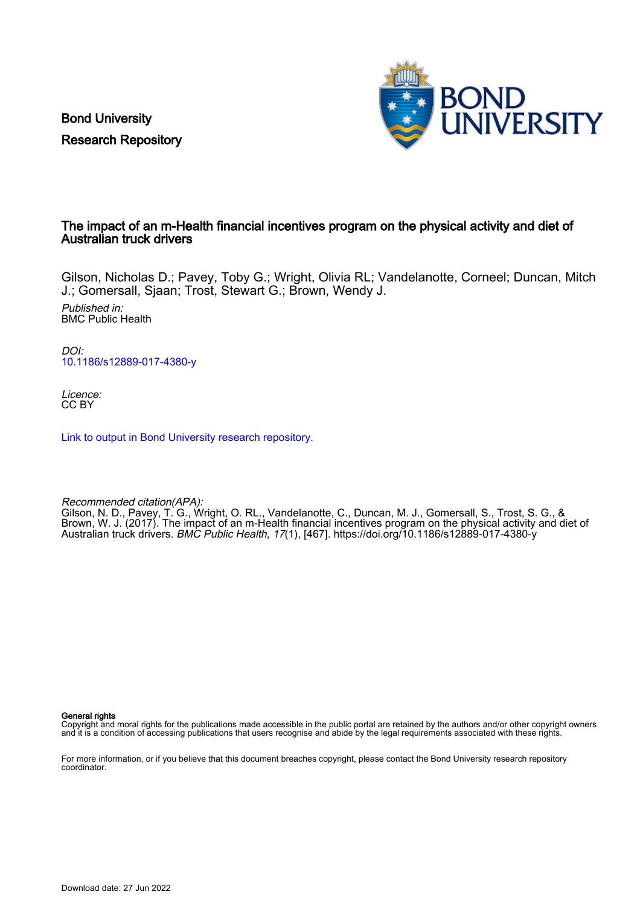Bond University Research Repository



# The impact of an m-Health financial incentives program on the physical activity and diet of Australian truck drivers

Gilson, Nicholas D.; Pavey, Toby G.; Wright, Olivia RL; Vandelanotte, Corneel; Duncan, Mitch J.; Gomersall, Sjaan; Trost, Stewart G.; Brown, Wendy J.

Published in: BMC Public Health

DOI: [10.1186/s12889-017-4380-y](https://doi.org/10.1186/s12889-017-4380-y)

Licence: CC BY

[Link to output in Bond University research repository.](https://research.bond.edu.au/en/publications/f19e50cc-b781-457c-b076-5c418c140f06)

Recommended citation(APA): Gilson, N. D., Pavey, T. G., Wright, O. RL., Vandelanotte, C., Duncan, M. J., Gomersall, S., Trost, S. G., & Brown, W. J. (2017). The impact of an m-Health financial incentives program on the physical activity and diet of Australian truck drivers. BMC Public Health, 17(1), [467].<https://doi.org/10.1186/s12889-017-4380-y>

General rights

Copyright and moral rights for the publications made accessible in the public portal are retained by the authors and/or other copyright owners and it is a condition of accessing publications that users recognise and abide by the legal requirements associated with these rights.

For more information, or if you believe that this document breaches copyright, please contact the Bond University research repository coordinator.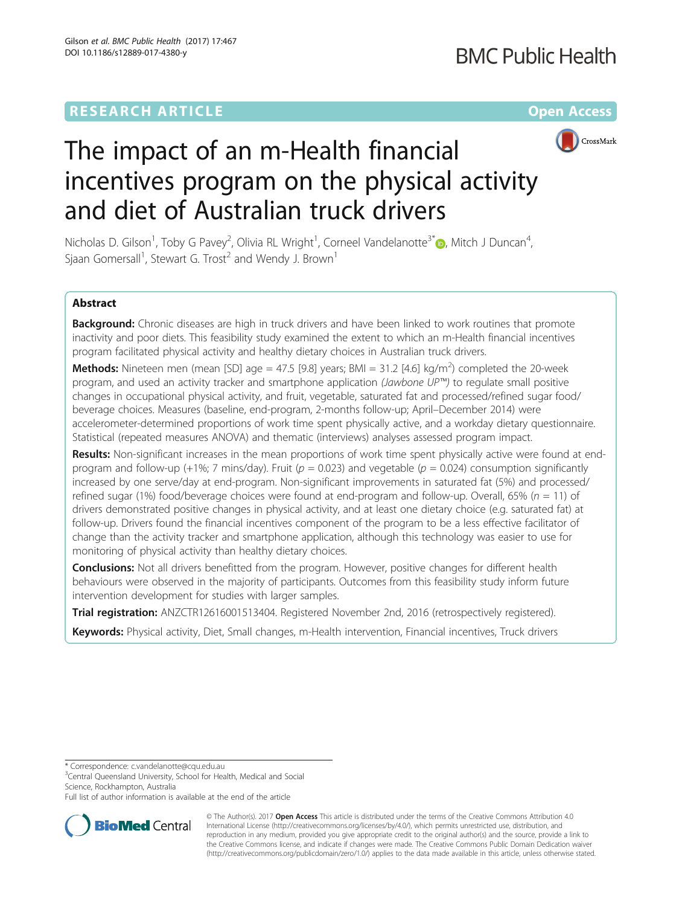# **RESEARCH ARTICLE Example 2014 12:30 The Community Community Community Community Community Community Community**



# The impact of an m-Health financial incentives program on the physical activity and diet of Australian truck drivers

Nicholas D. Gilson<sup>1</sup>, Toby G Pavey<sup>2</sup>, Olivia RL Wright<sup>1</sup>, Corneel Vandelanotte<sup>3[\\*](http://orcid.org/0000-0002-4445-8094)</sup>. Mitch J Duncan<sup>4</sup> , Sjaan Gomersall<sup>1</sup>, Stewart G. Trost<sup>2</sup> and Wendy J. Brown<sup>1</sup>

## Abstract

Background: Chronic diseases are high in truck drivers and have been linked to work routines that promote inactivity and poor diets. This feasibility study examined the extent to which an m-Health financial incentives program facilitated physical activity and healthy dietary choices in Australian truck drivers.

**Methods:** Nineteen men (mean [SD] age = 47.5 [9.8] years; BMI = 31.2 [4.6] kg/m<sup>2</sup>) completed the 20-week program, and used an activity tracker and smartphone application (Jawbone UP™) to regulate small positive changes in occupational physical activity, and fruit, vegetable, saturated fat and processed/refined sugar food/ beverage choices. Measures (baseline, end-program, 2-months follow-up; April–December 2014) were accelerometer-determined proportions of work time spent physically active, and a workday dietary questionnaire. Statistical (repeated measures ANOVA) and thematic (interviews) analyses assessed program impact.

Results: Non-significant increases in the mean proportions of work time spent physically active were found at endprogram and follow-up (+1%; 7 mins/day). Fruit ( $p = 0.023$ ) and vegetable ( $p = 0.024$ ) consumption significantly increased by one serve/day at end-program. Non-significant improvements in saturated fat (5%) and processed/ refined sugar (1%) food/beverage choices were found at end-program and follow-up. Overall, 65% ( $n = 11$ ) of drivers demonstrated positive changes in physical activity, and at least one dietary choice (e.g. saturated fat) at follow-up. Drivers found the financial incentives component of the program to be a less effective facilitator of change than the activity tracker and smartphone application, although this technology was easier to use for monitoring of physical activity than healthy dietary choices.

**Conclusions:** Not all drivers benefitted from the program. However, positive changes for different health behaviours were observed in the majority of participants. Outcomes from this feasibility study inform future intervention development for studies with larger samples.

Trial registration: [ANZCTR12616001513404](http://www.anzctr.org.au/ACTRN12616001513404.aspx). Registered November 2nd, 2016 (retrospectively registered).

Keywords: Physical activity, Diet, Small changes, m-Health intervention, Financial incentives, Truck drivers

\* Correspondence: [c.vandelanotte@cqu.edu.au](mailto:c.vandelanotte@cqu.edu.au) <sup>3</sup>

<sup>3</sup>Central Queensland University, School for Health, Medical and Social Science, Rockhampton, Australia

Full list of author information is available at the end of the article



© The Author(s). 2017 **Open Access** This article is distributed under the terms of the Creative Commons Attribution 4.0 International License [\(http://creativecommons.org/licenses/by/4.0/](http://creativecommons.org/licenses/by/4.0/)), which permits unrestricted use, distribution, and reproduction in any medium, provided you give appropriate credit to the original author(s) and the source, provide a link to the Creative Commons license, and indicate if changes were made. The Creative Commons Public Domain Dedication waiver [\(http://creativecommons.org/publicdomain/zero/1.0/](http://creativecommons.org/publicdomain/zero/1.0/)) applies to the data made available in this article, unless otherwise stated.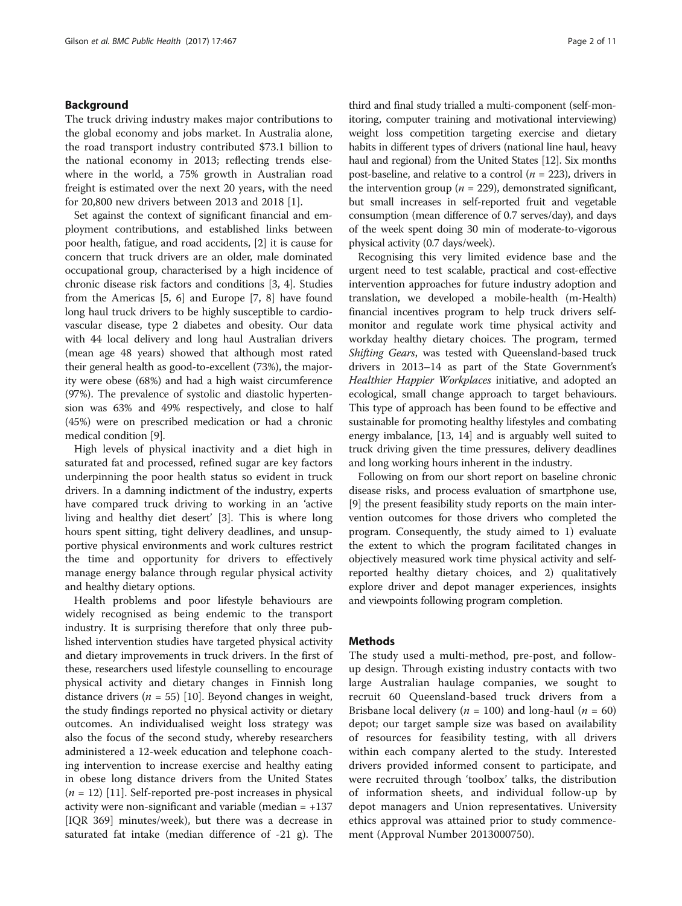#### Background

The truck driving industry makes major contributions to the global economy and jobs market. In Australia alone, the road transport industry contributed \$73.1 billion to the national economy in 2013; reflecting trends elsewhere in the world, a 75% growth in Australian road freight is estimated over the next 20 years, with the need for 20,800 new drivers between 2013 and 2018 [\[1](#page-10-0)].

Set against the context of significant financial and employment contributions, and established links between poor health, fatigue, and road accidents, [\[2\]](#page-10-0) it is cause for concern that truck drivers are an older, male dominated occupational group, characterised by a high incidence of chronic disease risk factors and conditions [[3](#page-10-0), [4\]](#page-10-0). Studies from the Americas [[5](#page-10-0), [6\]](#page-10-0) and Europe [\[7](#page-10-0), [8](#page-10-0)] have found long haul truck drivers to be highly susceptible to cardiovascular disease, type 2 diabetes and obesity. Our data with 44 local delivery and long haul Australian drivers (mean age 48 years) showed that although most rated their general health as good-to-excellent (73%), the majority were obese (68%) and had a high waist circumference (97%). The prevalence of systolic and diastolic hypertension was 63% and 49% respectively, and close to half (45%) were on prescribed medication or had a chronic medical condition [\[9](#page-10-0)].

High levels of physical inactivity and a diet high in saturated fat and processed, refined sugar are key factors underpinning the poor health status so evident in truck drivers. In a damning indictment of the industry, experts have compared truck driving to working in an 'active living and healthy diet desert' [[3](#page-10-0)]. This is where long hours spent sitting, tight delivery deadlines, and unsupportive physical environments and work cultures restrict the time and opportunity for drivers to effectively manage energy balance through regular physical activity and healthy dietary options.

Health problems and poor lifestyle behaviours are widely recognised as being endemic to the transport industry. It is surprising therefore that only three published intervention studies have targeted physical activity and dietary improvements in truck drivers. In the first of these, researchers used lifestyle counselling to encourage physical activity and dietary changes in Finnish long distance drivers ( $n = 55$ ) [\[10](#page-10-0)]. Beyond changes in weight, the study findings reported no physical activity or dietary outcomes. An individualised weight loss strategy was also the focus of the second study, whereby researchers administered a 12-week education and telephone coaching intervention to increase exercise and healthy eating in obese long distance drivers from the United States  $(n = 12)$  [[11\]](#page-11-0). Self-reported pre-post increases in physical activity were non-significant and variable (median  $= +137$ ) [IQR 369] minutes/week), but there was a decrease in saturated fat intake (median difference of -21 g). The

third and final study trialled a multi-component (self-monitoring, computer training and motivational interviewing) weight loss competition targeting exercise and dietary habits in different types of drivers (national line haul, heavy haul and regional) from the United States [\[12\]](#page-11-0). Six months post-baseline, and relative to a control ( $n = 223$ ), drivers in the intervention group ( $n = 229$ ), demonstrated significant, but small increases in self-reported fruit and vegetable consumption (mean difference of 0.7 serves/day), and days of the week spent doing 30 min of moderate-to-vigorous physical activity (0.7 days/week).

Recognising this very limited evidence base and the urgent need to test scalable, practical and cost-effective intervention approaches for future industry adoption and translation, we developed a mobile-health (m-Health) financial incentives program to help truck drivers selfmonitor and regulate work time physical activity and workday healthy dietary choices. The program, termed Shifting Gears, was tested with Queensland-based truck drivers in 2013–14 as part of the State Government's Healthier Happier Workplaces initiative, and adopted an ecological, small change approach to target behaviours. This type of approach has been found to be effective and sustainable for promoting healthy lifestyles and combating energy imbalance, [[13](#page-11-0), [14\]](#page-11-0) and is arguably well suited to truck driving given the time pressures, delivery deadlines and long working hours inherent in the industry.

Following on from our short report on baseline chronic disease risks, and process evaluation of smartphone use, [[9\]](#page-10-0) the present feasibility study reports on the main intervention outcomes for those drivers who completed the program. Consequently, the study aimed to 1) evaluate the extent to which the program facilitated changes in objectively measured work time physical activity and selfreported healthy dietary choices, and 2) qualitatively explore driver and depot manager experiences, insights and viewpoints following program completion.

#### Methods

The study used a multi-method, pre-post, and followup design. Through existing industry contacts with two large Australian haulage companies, we sought to recruit 60 Queensland-based truck drivers from a Brisbane local delivery ( $n = 100$ ) and long-haul ( $n = 60$ ) depot; our target sample size was based on availability of resources for feasibility testing, with all drivers within each company alerted to the study. Interested drivers provided informed consent to participate, and were recruited through 'toolbox' talks, the distribution of information sheets, and individual follow-up by depot managers and Union representatives. University ethics approval was attained prior to study commencement (Approval Number 2013000750).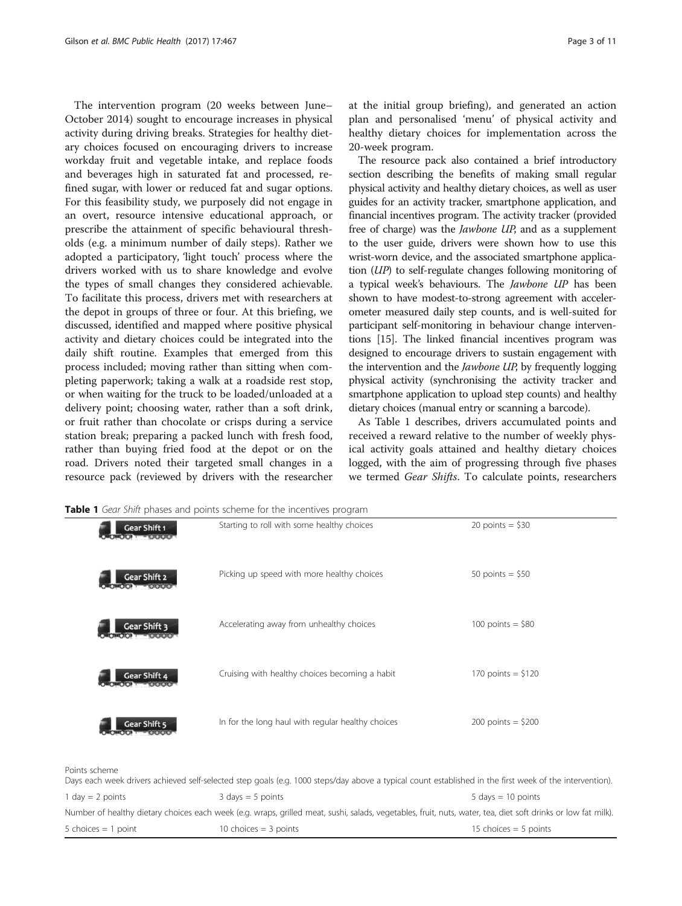The intervention program (20 weeks between June– October 2014) sought to encourage increases in physical activity during driving breaks. Strategies for healthy dietary choices focused on encouraging drivers to increase workday fruit and vegetable intake, and replace foods and beverages high in saturated fat and processed, refined sugar, with lower or reduced fat and sugar options. For this feasibility study, we purposely did not engage in an overt, resource intensive educational approach, or prescribe the attainment of specific behavioural thresholds (e.g. a minimum number of daily steps). Rather we adopted a participatory, 'light touch' process where the drivers worked with us to share knowledge and evolve the types of small changes they considered achievable. To facilitate this process, drivers met with researchers at the depot in groups of three or four. At this briefing, we discussed, identified and mapped where positive physical activity and dietary choices could be integrated into the daily shift routine. Examples that emerged from this process included; moving rather than sitting when completing paperwork; taking a walk at a roadside rest stop, or when waiting for the truck to be loaded/unloaded at a delivery point; choosing water, rather than a soft drink, or fruit rather than chocolate or crisps during a service station break; preparing a packed lunch with fresh food, rather than buying fried food at the depot or on the road. Drivers noted their targeted small changes in a resource pack (reviewed by drivers with the researcher at the initial group briefing), and generated an action plan and personalised 'menu' of physical activity and healthy dietary choices for implementation across the 20-week program.

The resource pack also contained a brief introductory section describing the benefits of making small regular physical activity and healthy dietary choices, as well as user guides for an activity tracker, smartphone application, and financial incentives program. The activity tracker (provided free of charge) was the Jawbone UP, and as a supplement to the user guide, drivers were shown how to use this wrist-worn device, and the associated smartphone application (UP) to self-regulate changes following monitoring of a typical week's behaviours. The Jawbone UP has been shown to have modest-to-strong agreement with accelerometer measured daily step counts, and is well-suited for participant self-monitoring in behaviour change interventions [\[15\]](#page-11-0). The linked financial incentives program was designed to encourage drivers to sustain engagement with the intervention and the *Jawbone UP*, by frequently logging physical activity (synchronising the activity tracker and smartphone application to upload step counts) and healthy dietary choices (manual entry or scanning a barcode).

As Table 1 describes, drivers accumulated points and received a reward relative to the number of weekly physical activity goals attained and healthy dietary choices logged, with the aim of progressing through five phases we termed Gear Shifts. To calculate points, researchers

| Gear Shift 1<br><b>ORODI - OOOO</b>                                                                                                                  | Starting to roll with some healthy choices        | 20 points = $$30$    |  |  |
|------------------------------------------------------------------------------------------------------------------------------------------------------|---------------------------------------------------|----------------------|--|--|
| Gear Shift 2<br>$[00] + [000]$                                                                                                                       | Picking up speed with more healthy choices        | 50 points = $$50$    |  |  |
| Gear Shift 3<br><b>OMOIO FOLOR</b>                                                                                                                   | Accelerating away from unhealthy choices          | 100 points = $$80$   |  |  |
| Gear Shift 4<br>$\bullet$ $\bullet$ $\bullet$ $\bullet$ $\bullet$ $\bullet$ $\bullet$                                                                | Cruising with healthy choices becoming a habit    | 170 points = $$120$  |  |  |
| Gear Shift 5                                                                                                                                         | In for the long haul with regular healthy choices | $200$ points = \$200 |  |  |
| ts scheme                                                                                                                                            |                                                   |                      |  |  |
| s each week drivers achieved self-selected step goals (e.g. 1000 steps/day above a typical count established in the first week of the intervention). |                                                   |                      |  |  |

Table 1 Gear Shift phases and points scheme for the incentives program

Poir

|                       | Days each week drivers achieved self-selected step goals (e.g. 1000 steps/day above a typical count established in the first week of the intervention).       |                                      |
|-----------------------|---------------------------------------------------------------------------------------------------------------------------------------------------------------|--------------------------------------|
| 1 day $= 2$ points    | $3 \text{ days} = 5 \text{ points}$                                                                                                                           | $5 \text{ days} = 10 \text{ points}$ |
|                       | Number of healthy dietary choices each week (e.g. wraps, grilled meat, sushi, salads, vegetables, fruit, nuts, water, tea, diet soft drinks or low fat milk). |                                      |
| 5 choices $=$ 1 point | 10 choices $=$ 3 points                                                                                                                                       | 15 choices $=$ 5 points              |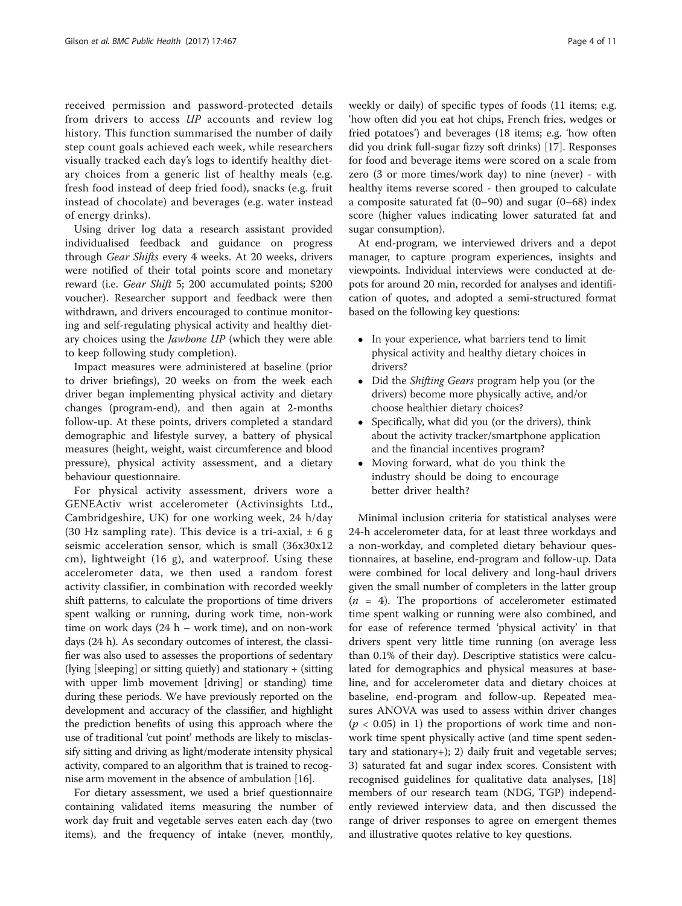received permission and password-protected details from drivers to access UP accounts and review log history. This function summarised the number of daily step count goals achieved each week, while researchers visually tracked each day's logs to identify healthy dietary choices from a generic list of healthy meals (e.g. fresh food instead of deep fried food), snacks (e.g. fruit instead of chocolate) and beverages (e.g. water instead of energy drinks).

Using driver log data a research assistant provided individualised feedback and guidance on progress through Gear Shifts every 4 weeks. At 20 weeks, drivers were notified of their total points score and monetary reward (i.e. Gear Shift 5; 200 accumulated points; \$200 voucher). Researcher support and feedback were then withdrawn, and drivers encouraged to continue monitoring and self-regulating physical activity and healthy dietary choices using the Jawbone UP (which they were able to keep following study completion).

Impact measures were administered at baseline (prior to driver briefings), 20 weeks on from the week each driver began implementing physical activity and dietary changes (program-end), and then again at 2-months follow-up. At these points, drivers completed a standard demographic and lifestyle survey, a battery of physical measures (height, weight, waist circumference and blood pressure), physical activity assessment, and a dietary behaviour questionnaire.

For physical activity assessment, drivers wore a GENEActiv wrist accelerometer (Activinsights Ltd., Cambridgeshire, UK) for one working week, 24 h/day (30 Hz sampling rate). This device is a tri-axial,  $\pm$  6 g seismic acceleration sensor, which is small (36x30x12 cm), lightweight (16 g), and waterproof. Using these accelerometer data, we then used a random forest activity classifier, in combination with recorded weekly shift patterns, to calculate the proportions of time drivers spent walking or running, during work time, non-work time on work days (24 h – work time), and on non-work days (24 h). As secondary outcomes of interest, the classifier was also used to assesses the proportions of sedentary (lying [sleeping] or sitting quietly) and stationary + (sitting with upper limb movement [driving] or standing) time during these periods. We have previously reported on the development and accuracy of the classifier, and highlight the prediction benefits of using this approach where the use of traditional 'cut point' methods are likely to misclassify sitting and driving as light/moderate intensity physical activity, compared to an algorithm that is trained to recognise arm movement in the absence of ambulation [\[16\]](#page-11-0).

For dietary assessment, we used a brief questionnaire containing validated items measuring the number of work day fruit and vegetable serves eaten each day (two items), and the frequency of intake (never, monthly,

weekly or daily) of specific types of foods (11 items; e.g. 'how often did you eat hot chips, French fries, wedges or fried potatoes') and beverages (18 items; e.g. 'how often did you drink full-sugar fizzy soft drinks) [[17](#page-11-0)]. Responses for food and beverage items were scored on a scale from zero (3 or more times/work day) to nine (never) - with healthy items reverse scored - then grouped to calculate a composite saturated fat (0–90) and sugar (0–68) index score (higher values indicating lower saturated fat and sugar consumption).

At end-program, we interviewed drivers and a depot manager, to capture program experiences, insights and viewpoints. Individual interviews were conducted at depots for around 20 min, recorded for analyses and identification of quotes, and adopted a semi-structured format based on the following key questions:

- In your experience, what barriers tend to limit physical activity and healthy dietary choices in drivers?
- Did the *Shifting Gears* program help you (or the drivers) become more physically active, and/or choose healthier dietary choices?
- Specifically, what did you (or the drivers), think about the activity tracker/smartphone application and the financial incentives program?
- Moving forward, what do you think the industry should be doing to encourage better driver health?

Minimal inclusion criteria for statistical analyses were 24-h accelerometer data, for at least three workdays and a non-workday, and completed dietary behaviour questionnaires, at baseline, end-program and follow-up. Data were combined for local delivery and long-haul drivers given the small number of completers in the latter group  $(n = 4)$ . The proportions of accelerometer estimated time spent walking or running were also combined, and for ease of reference termed 'physical activity' in that drivers spent very little time running (on average less than 0.1% of their day). Descriptive statistics were calculated for demographics and physical measures at baseline, and for accelerometer data and dietary choices at baseline, end-program and follow-up. Repeated measures ANOVA was used to assess within driver changes  $(p < 0.05)$  in 1) the proportions of work time and nonwork time spent physically active (and time spent sedentary and stationary+); 2) daily fruit and vegetable serves; 3) saturated fat and sugar index scores. Consistent with recognised guidelines for qualitative data analyses, [[18](#page-11-0)] members of our research team (NDG, TGP) independently reviewed interview data, and then discussed the range of driver responses to agree on emergent themes and illustrative quotes relative to key questions.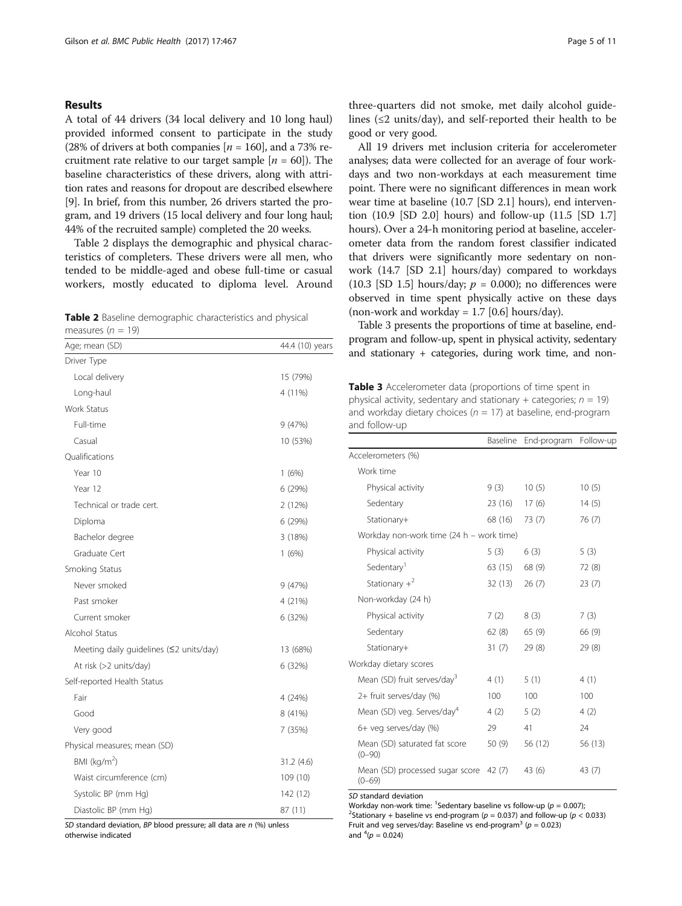#### <span id="page-5-0"></span>Results

A total of 44 drivers (34 local delivery and 10 long haul) provided informed consent to participate in the study (28% of drivers at both companies  $[n = 160]$ , and a 73% recruitment rate relative to our target sample  $[n = 60]$ ). The baseline characteristics of these drivers, along with attrition rates and reasons for dropout are described elsewhere [[9\]](#page-10-0). In brief, from this number, 26 drivers started the program, and 19 drivers (15 local delivery and four long haul; 44% of the recruited sample) completed the 20 weeks.

Table 2 displays the demographic and physical characteristics of completers. These drivers were all men, who tended to be middle-aged and obese full-time or casual workers, mostly educated to diploma level. Around

Table 2 Baseline demographic characteristics and physical measures ( $n = 19$ )

| Age; mean (SD)                          | 44.4 (10) years |
|-----------------------------------------|-----------------|
| Driver Type                             |                 |
| Local delivery                          | 15 (79%)        |
| Long-haul                               | 4 (11%)         |
| Work Status                             |                 |
| Full-time                               | 9(47%)          |
| Casual                                  | 10 (53%)        |
| Qualifications                          |                 |
| Year 10                                 | 1(6%)           |
| Year 12                                 | 6 (29%)         |
| Technical or trade cert.                | 2 (12%)         |
| Diploma                                 | 6 (29%)         |
| Bachelor degree                         | 3 (18%)         |
| Graduate Cert                           | 1(6%)           |
| Smoking Status                          |                 |
| Never smoked                            | 9 (47%)         |
| Past smoker                             | 4 (21%)         |
| Current smoker                          | 6 (32%)         |
| Alcohol Status                          |                 |
| Meeting daily guidelines (≤2 units/day) | 13 (68%)        |
| At risk (>2 units/day)                  | 6 (32%)         |
| Self-reported Health Status             |                 |
| Fair                                    | 4 (24%)         |
| Good                                    | 8 (41%)         |
| Very good                               | 7 (35%)         |
| Physical measures; mean (SD)            |                 |
| BMI ( $kg/m2$ )                         | 31.2 (4.6)      |
| Waist circumference (cm)                | 109 (10)        |
| Systolic BP (mm Hg)                     | 142 (12)        |
| Diastolic BP (mm Hg)                    | 87 (11)         |

SD standard deviation, BP blood pressure; all data are  $n$  (%) unless

otherwise indicated

three-quarters did not smoke, met daily alcohol guidelines (≤2 units/day), and self-reported their health to be good or very good.

All 19 drivers met inclusion criteria for accelerometer analyses; data were collected for an average of four workdays and two non-workdays at each measurement time point. There were no significant differences in mean work wear time at baseline (10.7 [SD 2.1] hours), end intervention (10.9 [SD 2.0] hours) and follow-up (11.5 [SD 1.7] hours). Over a 24-h monitoring period at baseline, accelerometer data from the random forest classifier indicated that drivers were significantly more sedentary on nonwork (14.7 [SD 2.1] hours/day) compared to workdays (10.3 [SD 1.5] hours/day;  $p = 0.000$ ); no differences were observed in time spent physically active on these days (non-work and workday =  $1.7$  [0.6] hours/day).

Table 3 presents the proportions of time at baseline, endprogram and follow-up, spent in physical activity, sedentary and stationary + categories, during work time, and non-

Table 3 Accelerometer data (proportions of time spent in physical activity, sedentary and stationary + categories;  $n = 19$ ) and workday dietary choices ( $n = 17$ ) at baseline, end-program and follow-up

|                                               | Baseline | End-program | Follow-up |  |  |
|-----------------------------------------------|----------|-------------|-----------|--|--|
| Accelerometers (%)                            |          |             |           |  |  |
| Work time                                     |          |             |           |  |  |
| Physical activity                             | 9(3)     | 10(5)       | 10(5)     |  |  |
| Sedentary                                     | 23 (16)  | 17(6)       | 14(5)     |  |  |
| Stationary+                                   | 68 (16)  | 73 (7)      | 76(7)     |  |  |
| Workday non-work time (24 h – work time)      |          |             |           |  |  |
| Physical activity                             | 5(3)     | 6(3)        | 5(3)      |  |  |
| Sedentary <sup>1</sup>                        | 63 (15)  | 68 (9)      | 72(8)     |  |  |
| Stationary $+^2$                              | 32(13)   | 26(7)       | 23(7)     |  |  |
| Non-workday (24 h)                            |          |             |           |  |  |
| Physical activity                             | 7(2)     | 8(3)        | 7(3)      |  |  |
| Sedentary                                     | 62(8)    | 65(9)       | 66 (9)    |  |  |
| Stationary+                                   | 31(7)    | 29(8)       | 29(8)     |  |  |
| Workday dietary scores                        |          |             |           |  |  |
| Mean (SD) fruit serves/day <sup>3</sup>       | 4 (1)    | 5(1)        | 4(1)      |  |  |
| 2+ fruit serves/day (%)                       | 100      | 100         | 100       |  |  |
| Mean (SD) veg. Serves/day <sup>4</sup>        | 4(2)     | 5(2)        | 4(2)      |  |  |
| 6+ veg serves/day (%)                         | 29       | 41          | 24        |  |  |
| Mean (SD) saturated fat score<br>$(0 - 90)$   | 50(9)    | 56 (12)     | 56 (13)   |  |  |
| Mean (SD) processed sugar score<br>$(0 - 69)$ | 42 (7)   | 43 (6)      | 43 (7)    |  |  |

SD standard deviation

Workday non-work time: <sup>1</sup>Sedentary baseline vs follow-up ( $p = 0.007$ );<br><sup>2</sup>Stationary Librogline vs and program (p = 0.027) and follow up (p < <sup>2</sup>Stationary + baseline vs end-program ( $p = 0.037$ ) and follow-up ( $p < 0.033$ ) Fruit and veg serves/day: Baseline vs end-program<sup>3</sup> ( $p = 0.023$ ) and  $^{4}(p = 0.024)$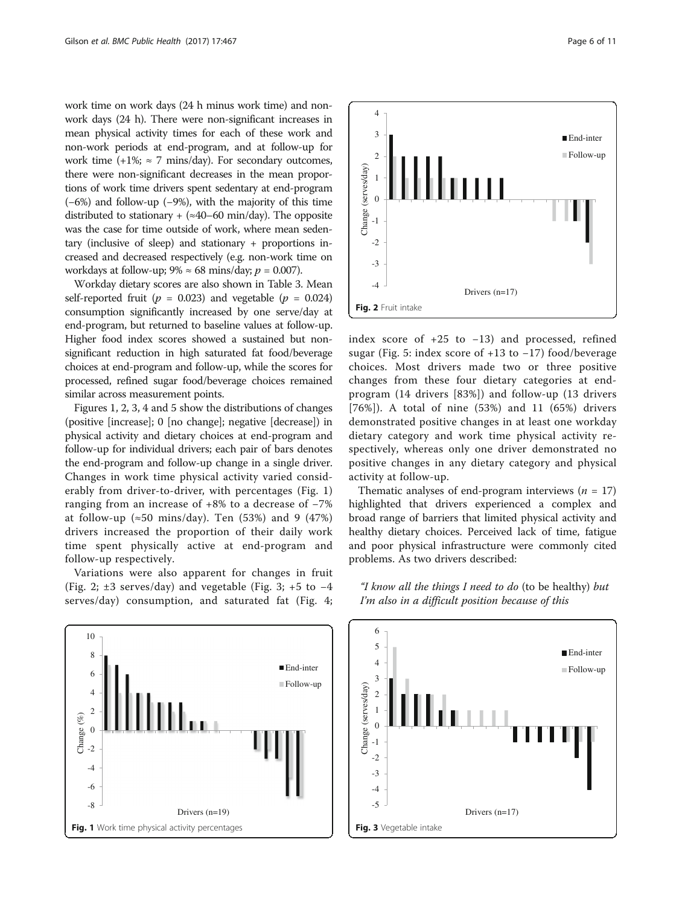work time on work days (24 h minus work time) and nonwork days (24 h). There were non-significant increases in mean physical activity times for each of these work and non-work periods at end-program, and at follow-up for work time  $(+1\%;\approx 7 \text{ mins/day})$ . For secondary outcomes, there were non-significant decreases in the mean proportions of work time drivers spent sedentary at end-program (−6%) and follow-up (−9%), with the majority of this time distributed to stationary + ( $\approx$ 40–60 min/day). The opposite was the case for time outside of work, where mean sedentary (inclusive of sleep) and stationary + proportions increased and decreased respectively (e.g. non-work time on workdays at follow-up;  $9\% \approx 68 \text{ mins/day}; p = 0.007$ ).

Workday dietary scores are also shown in Table [3.](#page-5-0) Mean self-reported fruit ( $p = 0.023$ ) and vegetable ( $p = 0.024$ ) consumption significantly increased by one serve/day at end-program, but returned to baseline values at follow-up. Higher food index scores showed a sustained but nonsignificant reduction in high saturated fat food/beverage choices at end-program and follow-up, while the scores for processed, refined sugar food/beverage choices remained similar across measurement points.

Figures 1, 2, 3, 4 and 5 show the distributions of changes (positive [increase]; 0 [no change]; negative [decrease]) in physical activity and dietary choices at end-program and follow-up for individual drivers; each pair of bars denotes the end-program and follow-up change in a single driver. Changes in work time physical activity varied considerably from driver-to-driver, with percentages (Fig. 1) ranging from an increase of +8% to a decrease of −7% at follow-up ( $\approx$ 50 mins/day). Ten (53%) and 9 (47%) drivers increased the proportion of their daily work time spent physically active at end-program and follow-up respectively.

Variations were also apparent for changes in fruit (Fig. 2;  $\pm 3$  serves/day) and vegetable (Fig. 3;  $+5$  to  $-4$ serves/day) consumption, and saturated fat (Fig. [4](#page-7-0);





index score of +25 to −13) and processed, refined sugar (Fig. [5](#page-7-0): index score of +13 to −17) food/beverage choices. Most drivers made two or three positive changes from these four dietary categories at endprogram (14 drivers [83%]) and follow-up (13 drivers [76%]). A total of nine (53%) and 11 (65%) drivers demonstrated positive changes in at least one workday dietary category and work time physical activity respectively, whereas only one driver demonstrated no positive changes in any dietary category and physical activity at follow-up.

Thematic analyses of end-program interviews ( $n = 17$ ) highlighted that drivers experienced a complex and broad range of barriers that limited physical activity and healthy dietary choices. Perceived lack of time, fatigue and poor physical infrastructure were commonly cited problems. As two drivers described:



"I know all the things I need to do (to be healthy) but I'm also in a difficult position because of this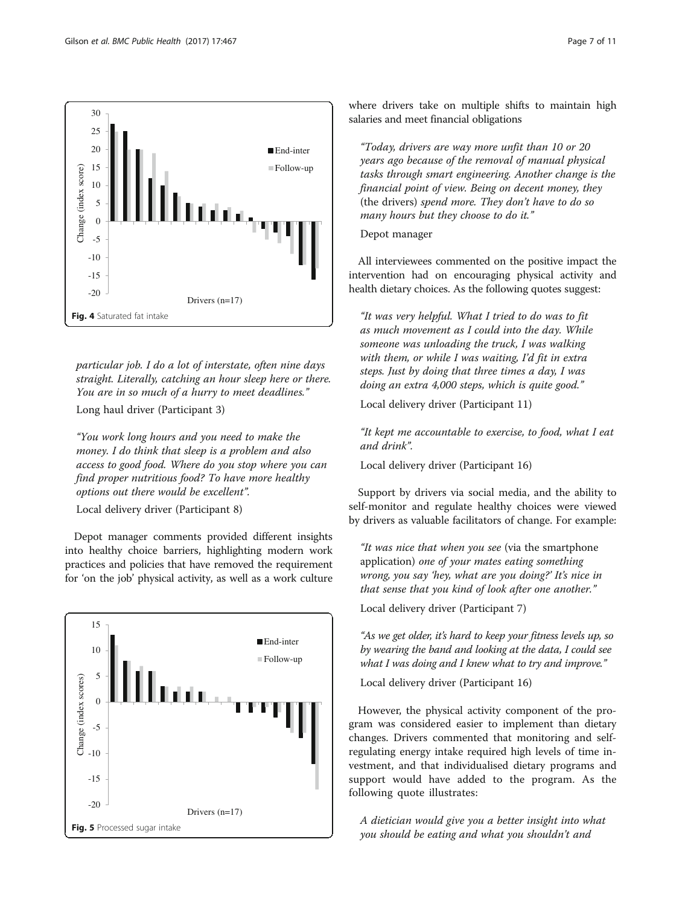<span id="page-7-0"></span>

particular job. I do a lot of interstate, often nine days straight. Literally, catching an hour sleep here or there. You are in so much of a hurry to meet deadlines."

Long haul driver (Participant 3)

"You work long hours and you need to make the money. I do think that sleep is a problem and also access to good food. Where do you stop where you can find proper nutritious food? To have more healthy options out there would be excellent".

Local delivery driver (Participant 8)

Depot manager comments provided different insights into healthy choice barriers, highlighting modern work practices and policies that have removed the requirement for 'on the job' physical activity, as well as a work culture



where drivers take on multiple shifts to maintain high salaries and meet financial obligations

"Today, drivers are way more unfit than 10 or 20 years ago because of the removal of manual physical tasks through smart engineering. Another change is the financial point of view. Being on decent money, they (the drivers) spend more. They don't have to do so many hours but they choose to do it."

Depot manager

All interviewees commented on the positive impact the intervention had on encouraging physical activity and health dietary choices. As the following quotes suggest:

"It was very helpful. What I tried to do was to fit as much movement as I could into the day. While someone was unloading the truck, I was walking with them, or while I was waiting, I'd fit in extra steps. Just by doing that three times a day, I was doing an extra 4,000 steps, which is quite good."

Local delivery driver (Participant 11)

"It kept me accountable to exercise, to food, what I eat and drink".

Local delivery driver (Participant 16)

Support by drivers via social media, and the ability to self-monitor and regulate healthy choices were viewed by drivers as valuable facilitators of change. For example:

"It was nice that when you see (via the smartphone application) one of your mates eating something wrong, you say 'hey, what are you doing?' It's nice in that sense that you kind of look after one another."

Local delivery driver (Participant 7)

"As we get older, it's hard to keep your fitness levels up, so by wearing the band and looking at the data, I could see what I was doing and I knew what to try and improve."

Local delivery driver (Participant 16)

However, the physical activity component of the program was considered easier to implement than dietary changes. Drivers commented that monitoring and selfregulating energy intake required high levels of time investment, and that individualised dietary programs and support would have added to the program. As the following quote illustrates:

A dietician would give you a better insight into what you should be eating and what you shouldn't and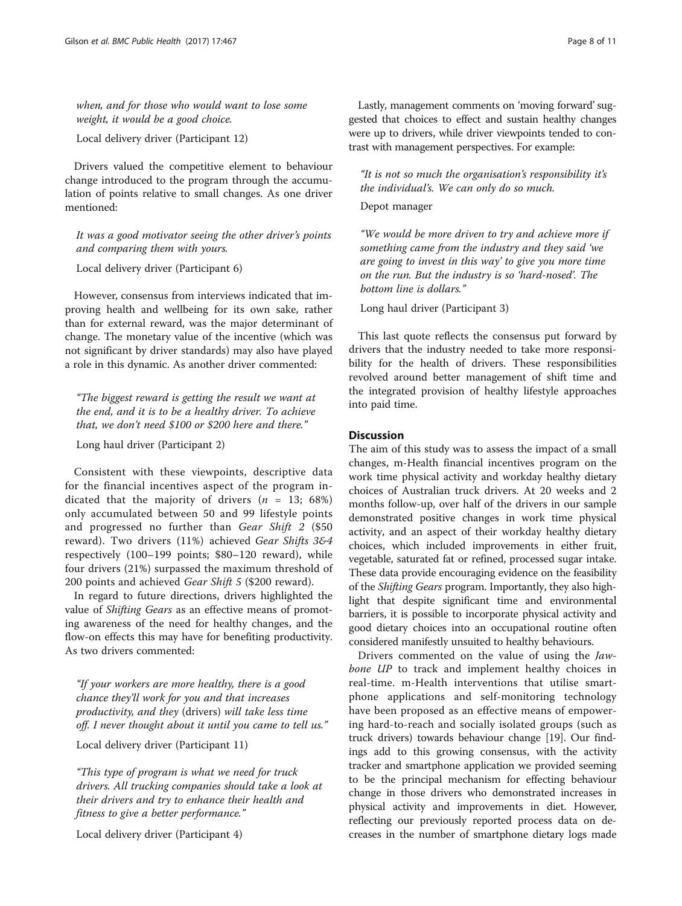when, and for those who would want to lose some weight, it would be a good choice.

Local delivery driver (Participant 12)

Drivers valued the competitive element to behaviour change introduced to the program through the accumulation of points relative to small changes. As one driver mentioned:

It was a good motivator seeing the other driver's points and comparing them with yours.

Local delivery driver (Participant 6)

However, consensus from interviews indicated that improving health and wellbeing for its own sake, rather than for external reward, was the major determinant of change. The monetary value of the incentive (which was not significant by driver standards) may also have played a role in this dynamic. As another driver commented:

"The biggest reward is getting the result we want at the end, and it is to be a healthy driver. To achieve that, we don't need \$100 or \$200 here and there."

Long haul driver (Participant 2)

Consistent with these viewpoints, descriptive data for the financial incentives aspect of the program indicated that the majority of drivers ( $n = 13$ ; 68%) only accumulated between 50 and 99 lifestyle points and progressed no further than Gear Shift 2 (\$50 reward). Two drivers (11%) achieved Gear Shifts 3&4 respectively (100–199 points; \$80–120 reward), while four drivers (21%) surpassed the maximum threshold of 200 points and achieved *Gear Shift 5* (\$200 reward).

In regard to future directions, drivers highlighted the value of Shifting Gears as an effective means of promoting awareness of the need for healthy changes, and the flow-on effects this may have for benefiting productivity. As two drivers commented:

"If your workers are more healthy, there is a good chance they'll work for you and that increases productivity, and they (drivers) will take less time off. I never thought about it until you came to tell us."

Local delivery driver (Participant 11)

"This type of program is what we need for truck drivers. All trucking companies should take a look at their drivers and try to enhance their health and fitness to give a better performance."

Local delivery driver (Participant 4)

Lastly, management comments on 'moving forward' suggested that choices to effect and sustain healthy changes were up to drivers, while driver viewpoints tended to contrast with management perspectives. For example:

"It is not so much the organisation's responsibility it's the individual's. We can only do so much.

#### Depot manager

"We would be more driven to try and achieve more if something came from the industry and they said 'we are going to invest in this way' to give you more time on the run. But the industry is so 'hard-nosed'. The bottom line is dollars."

Long haul driver (Participant 3)

This last quote reflects the consensus put forward by drivers that the industry needed to take more responsibility for the health of drivers. These responsibilities revolved around better management of shift time and the integrated provision of healthy lifestyle approaches into paid time.

### **Discussion**

The aim of this study was to assess the impact of a small changes, m-Health financial incentives program on the work time physical activity and workday healthy dietary choices of Australian truck drivers. At 20 weeks and 2 months follow-up, over half of the drivers in our sample demonstrated positive changes in work time physical activity, and an aspect of their workday healthy dietary choices, which included improvements in either fruit, vegetable, saturated fat or refined, processed sugar intake. These data provide encouraging evidence on the feasibility of the Shifting Gears program. Importantly, they also highlight that despite significant time and environmental barriers, it is possible to incorporate physical activity and good dietary choices into an occupational routine often considered manifestly unsuited to healthy behaviours.

Drivers commented on the value of using the Jawbone UP to track and implement healthy choices in real-time. m-Health interventions that utilise smartphone applications and self-monitoring technology have been proposed as an effective means of empowering hard-to-reach and socially isolated groups (such as truck drivers) towards behaviour change [[19](#page-11-0)]. Our findings add to this growing consensus, with the activity tracker and smartphone application we provided seeming to be the principal mechanism for effecting behaviour change in those drivers who demonstrated increases in physical activity and improvements in diet. However, reflecting our previously reported process data on decreases in the number of smartphone dietary logs made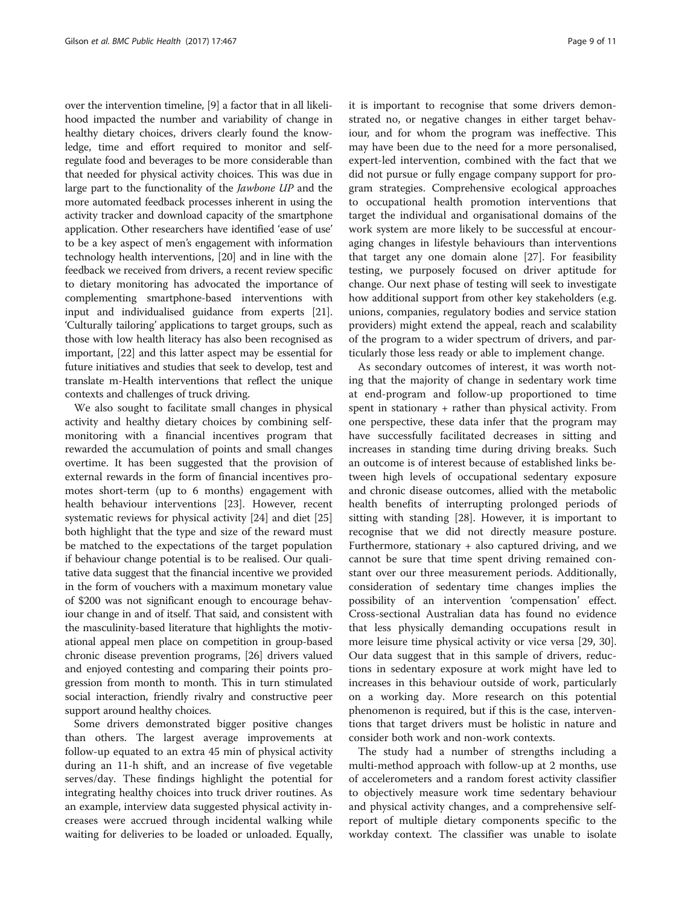over the intervention timeline, [\[9\]](#page-10-0) a factor that in all likelihood impacted the number and variability of change in healthy dietary choices, drivers clearly found the knowledge, time and effort required to monitor and selfregulate food and beverages to be more considerable than that needed for physical activity choices. This was due in large part to the functionality of the Jawbone UP and the more automated feedback processes inherent in using the activity tracker and download capacity of the smartphone application. Other researchers have identified 'ease of use' to be a key aspect of men's engagement with information technology health interventions, [\[20](#page-11-0)] and in line with the feedback we received from drivers, a recent review specific to dietary monitoring has advocated the importance of complementing smartphone-based interventions with input and individualised guidance from experts [[21](#page-11-0)]. 'Culturally tailoring' applications to target groups, such as those with low health literacy has also been recognised as important, [\[22](#page-11-0)] and this latter aspect may be essential for future initiatives and studies that seek to develop, test and translate m-Health interventions that reflect the unique contexts and challenges of truck driving.

We also sought to facilitate small changes in physical activity and healthy dietary choices by combining selfmonitoring with a financial incentives program that rewarded the accumulation of points and small changes overtime. It has been suggested that the provision of external rewards in the form of financial incentives promotes short-term (up to 6 months) engagement with health behaviour interventions [[23\]](#page-11-0). However, recent systematic reviews for physical activity [[24](#page-11-0)] and diet [[25](#page-11-0)] both highlight that the type and size of the reward must be matched to the expectations of the target population if behaviour change potential is to be realised. Our qualitative data suggest that the financial incentive we provided in the form of vouchers with a maximum monetary value of \$200 was not significant enough to encourage behaviour change in and of itself. That said, and consistent with the masculinity-based literature that highlights the motivational appeal men place on competition in group-based chronic disease prevention programs, [\[26\]](#page-11-0) drivers valued and enjoyed contesting and comparing their points progression from month to month. This in turn stimulated social interaction, friendly rivalry and constructive peer support around healthy choices.

Some drivers demonstrated bigger positive changes than others. The largest average improvements at follow-up equated to an extra 45 min of physical activity during an 11-h shift, and an increase of five vegetable serves/day. These findings highlight the potential for integrating healthy choices into truck driver routines. As an example, interview data suggested physical activity increases were accrued through incidental walking while waiting for deliveries to be loaded or unloaded. Equally, it is important to recognise that some drivers demonstrated no, or negative changes in either target behaviour, and for whom the program was ineffective. This may have been due to the need for a more personalised, expert-led intervention, combined with the fact that we did not pursue or fully engage company support for program strategies. Comprehensive ecological approaches to occupational health promotion interventions that target the individual and organisational domains of the work system are more likely to be successful at encouraging changes in lifestyle behaviours than interventions that target any one domain alone [[27](#page-11-0)]. For feasibility

testing, we purposely focused on driver aptitude for change. Our next phase of testing will seek to investigate how additional support from other key stakeholders (e.g. unions, companies, regulatory bodies and service station providers) might extend the appeal, reach and scalability

of the program to a wider spectrum of drivers, and particularly those less ready or able to implement change. As secondary outcomes of interest, it was worth noting that the majority of change in sedentary work time at end-program and follow-up proportioned to time spent in stationary + rather than physical activity. From one perspective, these data infer that the program may have successfully facilitated decreases in sitting and increases in standing time during driving breaks. Such an outcome is of interest because of established links between high levels of occupational sedentary exposure and chronic disease outcomes, allied with the metabolic health benefits of interrupting prolonged periods of sitting with standing [\[28\]](#page-11-0). However, it is important to recognise that we did not directly measure posture. Furthermore, stationary + also captured driving, and we cannot be sure that time spent driving remained constant over our three measurement periods. Additionally, consideration of sedentary time changes implies the possibility of an intervention 'compensation' effect. Cross-sectional Australian data has found no evidence that less physically demanding occupations result in more leisure time physical activity or vice versa [\[29, 30](#page-11-0)]. Our data suggest that in this sample of drivers, reductions in sedentary exposure at work might have led to increases in this behaviour outside of work, particularly on a working day. More research on this potential phenomenon is required, but if this is the case, interventions that target drivers must be holistic in nature and consider both work and non-work contexts.

The study had a number of strengths including a multi-method approach with follow-up at 2 months, use of accelerometers and a random forest activity classifier to objectively measure work time sedentary behaviour and physical activity changes, and a comprehensive selfreport of multiple dietary components specific to the workday context. The classifier was unable to isolate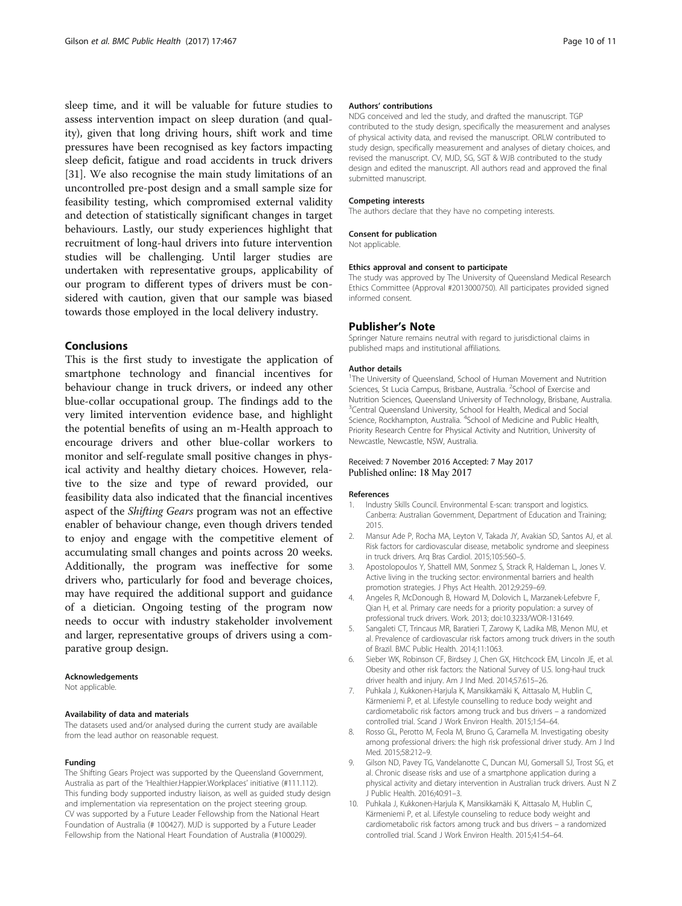<span id="page-10-0"></span>sleep time, and it will be valuable for future studies to assess intervention impact on sleep duration (and quality), given that long driving hours, shift work and time pressures have been recognised as key factors impacting sleep deficit, fatigue and road accidents in truck drivers [[31\]](#page-11-0). We also recognise the main study limitations of an uncontrolled pre-post design and a small sample size for feasibility testing, which compromised external validity and detection of statistically significant changes in target behaviours. Lastly, our study experiences highlight that recruitment of long-haul drivers into future intervention studies will be challenging. Until larger studies are undertaken with representative groups, applicability of our program to different types of drivers must be considered with caution, given that our sample was biased towards those employed in the local delivery industry.

#### Conclusions

This is the first study to investigate the application of smartphone technology and financial incentives for behaviour change in truck drivers, or indeed any other blue-collar occupational group. The findings add to the very limited intervention evidence base, and highlight the potential benefits of using an m-Health approach to encourage drivers and other blue-collar workers to monitor and self-regulate small positive changes in physical activity and healthy dietary choices. However, relative to the size and type of reward provided, our feasibility data also indicated that the financial incentives aspect of the Shifting Gears program was not an effective enabler of behaviour change, even though drivers tended to enjoy and engage with the competitive element of accumulating small changes and points across 20 weeks. Additionally, the program was ineffective for some drivers who, particularly for food and beverage choices, may have required the additional support and guidance of a dietician. Ongoing testing of the program now needs to occur with industry stakeholder involvement and larger, representative groups of drivers using a comparative group design.

#### Acknowledgements

Not applicable.

#### Availability of data and materials

The datasets used and/or analysed during the current study are available from the lead author on reasonable request.

#### Funding

The Shifting Gears Project was supported by the Queensland Government, Australia as part of the 'Healthier.Happier.Workplaces' initiative (#111.112). This funding body supported industry liaison, as well as guided study design and implementation via representation on the project steering group. CV was supported by a Future Leader Fellowship from the National Heart Foundation of Australia (# 100427). MJD is supported by a Future Leader Fellowship from the National Heart Foundation of Australia (#100029).

#### Authors' contributions

NDG conceived and led the study, and drafted the manuscript. TGP contributed to the study design, specifically the measurement and analyses of physical activity data, and revised the manuscript. ORLW contributed to study design, specifically measurement and analyses of dietary choices, and revised the manuscript. CV, MJD, SG, SGT & WJB contributed to the study design and edited the manuscript. All authors read and approved the final submitted manuscript.

#### Competing interests

The authors declare that they have no competing interests.

#### Consent for publication

Not applicable.

#### Ethics approval and consent to participate

The study was approved by The University of Queensland Medical Research Ethics Committee (Approval #2013000750). All participates provided signed informed consent.

#### Publisher's Note

Springer Nature remains neutral with regard to jurisdictional claims in published maps and institutional affiliations.

#### Author details

<sup>1</sup>The University of Queensland, School of Human Movement and Nutrition Sciences, St Lucia Campus, Brisbane, Australia. <sup>2</sup>School of Exercise and Nutrition Sciences, Queensland University of Technology, Brisbane, Australia. <sup>3</sup>Central Queensland University, School for Health, Medical and Social Science, Rockhampton, Australia. <sup>4</sup>School of Medicine and Public Health, Priority Research Centre for Physical Activity and Nutrition, University of Newcastle, Newcastle, NSW, Australia.

#### Received: 7 November 2016 Accepted: 7 May 2017 Published online: 18 May 2017

#### References

- 1. Industry Skills Council. Environmental E-scan: transport and logistics. Canberra: Australian Government, Department of Education and Training; 2015.
- 2. Mansur Ade P, Rocha MA, Leyton V, Takada JY, Avakian SD, Santos AJ, et al. Risk factors for cardiovascular disease, metabolic syndrome and sleepiness in truck drivers. Arq Bras Cardiol. 2015;105:560–5.
- 3. Apostolopoulos Y, Shattell MM, Sonmez S, Strack R, Haldeman L, Jones V. Active living in the trucking sector: environmental barriers and health promotion strategies. J Phys Act Health. 2012;9:259–69.
- 4. Angeles R, McDonough B, Howard M, Dolovich L, Marzanek-Lefebvre F, Qian H, et al. Primary care needs for a priority population: a survey of professional truck drivers. Work. 2013; doi[:10.3233/WOR-131649.](http://dx.doi.org/10.3233/WOR-131649)
- 5. Sangaleti CT, Trincaus MR, Baratieri T, Zarowy K, Ladika MB, Menon MU, et al. Prevalence of cardiovascular risk factors among truck drivers in the south of Brazil. BMC Public Health. 2014;11:1063.
- 6. Sieber WK, Robinson CF, Birdsey J, Chen GX, Hitchcock EM, Lincoln JE, et al. Obesity and other risk factors: the National Survey of U.S. long-haul truck driver health and injury. Am J Ind Med. 2014;57:615–26.
- 7. Puhkala J, Kukkonen-Harjula K, Mansikkamäki K, Aittasalo M, Hublin C, Kärmeniemi P, et al. Lifestyle counselling to reduce body weight and cardiometabolic risk factors among truck and bus drivers – a randomized controlled trial. Scand J Work Environ Health. 2015;1:54–64.
- 8. Rosso GL, Perotto M, Feola M, Bruno G, Caramella M. Investigating obesity among professional drivers: the high risk professional driver study. Am J Ind Med. 2015;58:212–9.
- 9. Gilson ND, Pavey TG, Vandelanotte C, Duncan MJ, Gomersall SJ, Trost SG, et al. Chronic disease risks and use of a smartphone application during a physical activity and dietary intervention in Australian truck drivers. Aust N Z J Public Health. 2016;40:91–3.
- 10. Puhkala J, Kukkonen-Harjula K, Mansikkamäki K, Aittasalo M, Hublin C, Kärmeniemi P, et al. Lifestyle counseling to reduce body weight and cardiometabolic risk factors among truck and bus drivers – a randomized controlled trial. Scand J Work Environ Health. 2015;41:54–64.